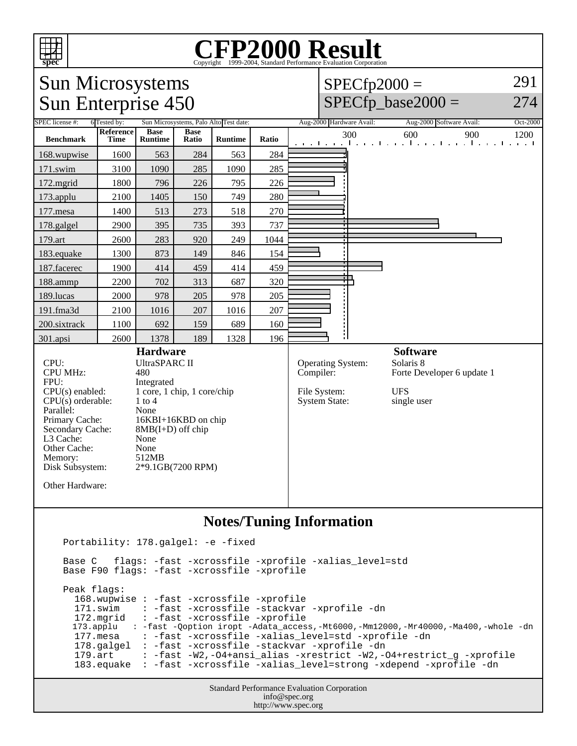

 Peak flags: 168.wupwise : -fast -xcrossfile -xprofile 171.swim : -fast -xcrossfile -stackvar -xprofile -dn : -fast -xcrossfile -xprofile 173.applu : -fast -Qoption iropt -Adata\_access,-Mt6000,-Mm12000,-Mr40000,-Ma400,-whole -dn 177.mesa : -fast -xcrossfile -xalias\_level=std -xprofile -dn 178.galgel : -fast -xcrossfile -stackvar -xprofile -dn 179.art : -fast -W2,-O4+ansi\_alias -xrestrict -W2,-O4+restrict\_g -xprofile 183.equake : -fast -xcrossfile -xalias\_level=strong -xdepend -xprofile -dn

> Standard Performance Evaluation Corporation info@spec.org http://www.spec.org